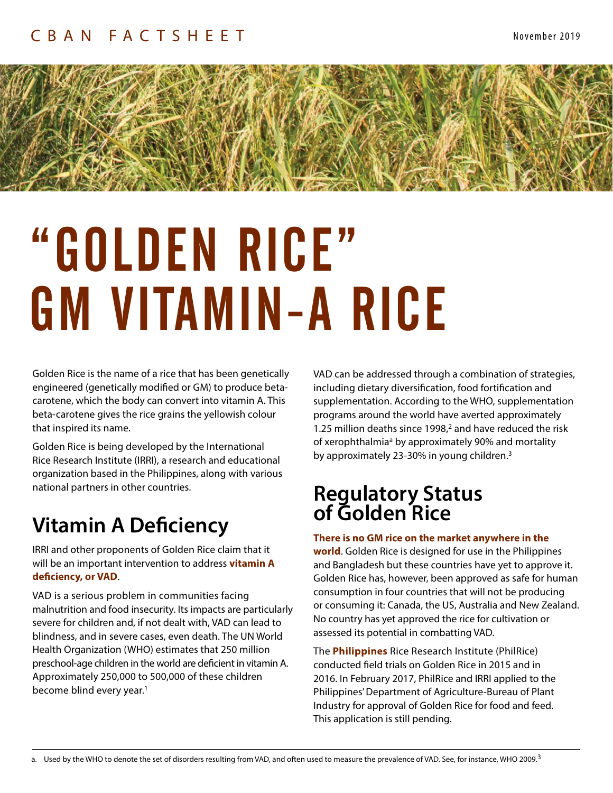

# "GOLDEN RICE" GM VITAMIN-A RICE

Golden Rice is the name of a rice that has been genetically engineered (genetically modified or GM) to produce betacarotene, which the body can convert into vitamin A. This beta-carotene gives the rice grains the yellowish colour that inspired its name.

Golden Rice is being developed by the International Rice Research Institute (IRRI), a research and educational organization based in the Philippines, along with various national partners in other countries.

# **Vitamin A Deficiency**

IRRI and other proponents of Golden Rice claim that it will be an important intervention to address **vitamin A deficiency, or VAD**.

VAD is a serious problem in communities facing malnutrition and food insecurity. Its impacts are particularly severe for children and, if not dealt with, VAD can lead to blindness, and in severe cases, even death. The UN World Health Organization (WHO) estimates that 250 million preschool-age children in the world are deficient in vitamin A. Approximately 250,000 to 500,000 of these children become blind every year.<sup>1</sup>

VAD can be addressed through a combination of strategies, including dietary diversification, food fortification and supplementation. According to the WHO, supplementation programs around the world have averted approximately 1.25 million deaths since 1998,<sup>2</sup> and have reduced the risk of xerophthalmia<sup>a</sup> by approximately 90% and mortality by approximately 23-30% in young children.<sup>3</sup>

## **Regulatory Status of Golden Rice**

#### **There is no GM rice on the market anywhere in the**

**world**. Golden Rice is designed for use in the Philippines and Bangladesh but these countries have yet to approve it. Golden Rice has, however, been approved as safe for human consumption in four countries that will not be producing or consuming it: Canada, the US, Australia and New Zealand. No country has yet approved the rice for cultivation or assessed its potential in combatting VAD.

The **Philippines** Rice Research Institute (PhilRice) conducted field trials on Golden Rice in 2015 and in 2016. In February 2017, PhilRice and IRRI applied to the Philippines' Department of Agriculture-Bureau of Plant Industry for approval of Golden Rice for food and feed. This application is still pending.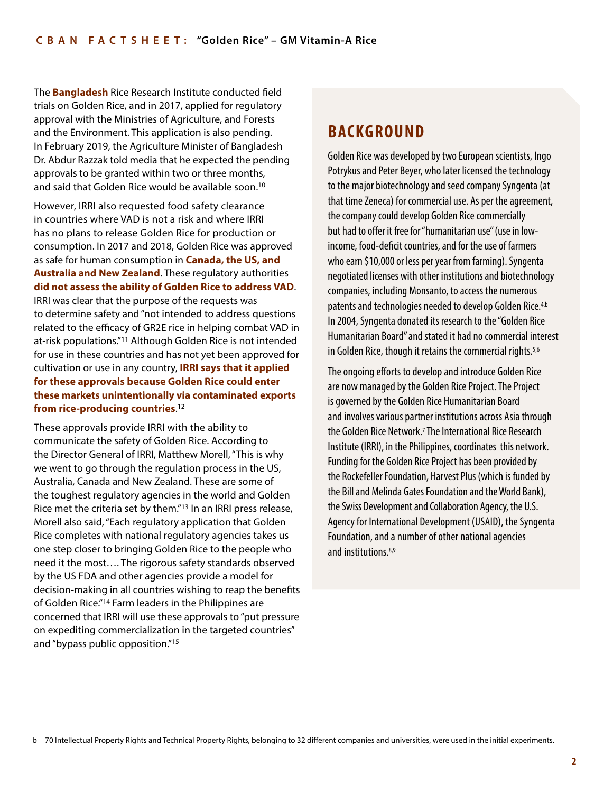The **Bangladesh** Rice Research Institute conducted field trials on Golden Rice, and in 2017, applied for regulatory approval with the Ministries of Agriculture, and Forests and the Environment. This application is also pending. In February 2019, the Agriculture Minister of Bangladesh Dr. Abdur Razzak told media that he expected the pending approvals to be granted within two or three months, and said that Golden Rice would be available soon.10

However, IRRI also requested food safety clearance in countries where VAD is not a risk and where IRRI has no plans to release Golden Rice for production or consumption. In 2017 and 2018, Golden Rice was approved as safe for human consumption in **Canada, the US, and Australia and New Zealand**. These regulatory authorities **did not assess the ability of Golden Rice to address VAD**. IRRI was clear that the purpose of the requests was to determine safety and "not intended to address questions related to the efficacy of GR2E rice in helping combat VAD in at-risk populations."11 Although Golden Rice is not intended for use in these countries and has not yet been approved for cultivation or use in any country, **IRRI says that it applied for these approvals because Golden Rice could enter these markets unintentionally via contaminated exports from rice-producing countries**. 12

These approvals provide IRRI with the ability to communicate the safety of Golden Rice. According to the Director General of IRRI, Matthew Morell, "This is why we went to go through the regulation process in the US, Australia, Canada and New Zealand. These are some of the toughest regulatory agencies in the world and Golden Rice met the criteria set by them."13 In an IRRI press release, Morell also said, "Each regulatory application that Golden Rice completes with national regulatory agencies takes us one step closer to bringing Golden Rice to the people who need it the most…. The rigorous safety standards observed by the US FDA and other agencies provide a model for decision-making in all countries wishing to reap the benefits of Golden Rice."14 Farm leaders in the Philippines are concerned that IRRI will use these approvals to "put pressure on expediting commercialization in the targeted countries" and "bypass public opposition."15

## **BACKGROUND**

Golden Rice was developed by two European scientists, Ingo Potrykus and Peter Beyer, who later licensed the technology to the major biotechnology and seed company Syngenta (at that time Zeneca) for commercial use. As per the agreement, the company could develop Golden Rice commercially but had to offer it free for "humanitarian use" (use in lowincome, food-deficit countries, and for the use of farmers who earn \$10,000 or less per year from farming). Syngenta negotiated licenses with other institutions and biotechnology companies, including Monsanto, to access the numerous patents and technologies needed to develop Golden Rice.4,b In 2004, Syngenta donated its research to the "Golden Rice Humanitarian Board" and stated it had no commercial interest in Golden Rice, though it retains the commercial rights.<sup>5,6</sup>

The ongoing efforts to develop and introduce Golden Rice are now managed by the Golden Rice Project. The Project is governed by the Golden Rice Humanitarian Board and involves various partner institutions across Asia through the Golden Rice Network.<sup>7</sup> The International Rice Research Institute (IRRI), in the Philippines, coordinates this network. Funding for the Golden Rice Project has been provided by the Rockefeller Foundation, Harvest Plus (which is funded by the Bill and Melinda Gates Foundation and the World Bank), the Swiss Development and Collaboration Agency, the U.S. Agency for International Development (USAID), the Syngenta Foundation, and a number of other national agencies and institutions.<sup>8,9</sup>

b 70 Intellectual Property Rights and Technical Property Rights, belonging to 32 different companies and universities, were used in the initial experiments.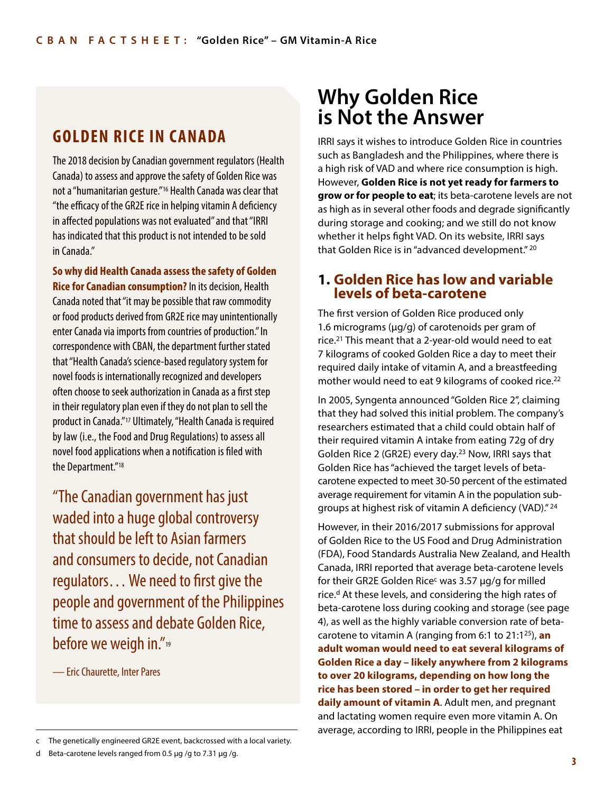## **GOLDEN RICE IN CANADA**

The 2018 decision by Canadian government regulators (Health Canada) to assess and approve the safety of Golden Rice was not a "humanitarian gesture."16 Health Canada was clear that "the efficacy of the GR2E rice in helping vitamin A deficiency in affected populations was not evaluated" and that "IRRI has indicated that this product is not intended to be sold in Canada."

**So why did Health Canada assess the safety of Golden Rice for Canadian consumption?** In its decision, Health Canada noted that "it may be possible that raw commodity or food products derived from GR2E rice may unintentionally enter Canada via imports from countries of production." In correspondence with CBAN, the department further stated that "Health Canada's science-based regulatory system for novel foods is internationally recognized and developers often choose to seek authorization in Canada as a first step in their regulatory plan even if they do not plan to sell the product in Canada."17 Ultimately, "Health Canada is required by law (i.e., the Food and Drug Regulations) to assess all novel food applications when a notification is filed with the Department."18

"The Canadian government has just waded into a huge global controversy that should be left to Asian farmers and consumers to decide, not Canadian regulators… We need to first give the people and government of the Philippines time to assess and debate Golden Rice, before we weigh in."<sup>19</sup>

— Eric Chaurette, Inter Pares

d Beta-carotene levels ranged from 0.5 μg /g to 7.31 μg /g.

## **Why Golden Rice is Not the Answer**

IRRI says it wishes to introduce Golden Rice in countries such as Bangladesh and the Philippines, where there is a high risk of VAD and where rice consumption is high. However, **Golden Rice is not yet ready for farmers to grow or for people to eat**; its beta-carotene levels are not as high as in several other foods and degrade significantly during storage and cooking; and we still do not know whether it helps fight VAD. On its website, IRRI says that Golden Rice is in "advanced development." 20

#### **1. Golden Rice has low and variable levels of beta-carotene**

The first version of Golden Rice produced only 1.6 micrograms (μg/g) of carotenoids per gram of rice.21 This meant that a 2-year-old would need to eat 7 kilograms of cooked Golden Rice a day to meet their required daily intake of vitamin A, and a breastfeeding mother would need to eat 9 kilograms of cooked rice.<sup>22</sup>

In 2005, Syngenta announced "Golden Rice 2", claiming that they had solved this initial problem. The company's researchers estimated that a child could obtain half of their required vitamin A intake from eating 72g of dry Golden Rice 2 (GR2E) every day.23 Now, IRRI says that Golden Rice has "achieved the target levels of betacarotene expected to meet 30-50 percent of the estimated average requirement for vitamin A in the population subgroups at highest risk of vitamin A deficiency (VAD)." 24

However, in their 2016/2017 submissions for approval of Golden Rice to the US Food and Drug Administration (FDA), Food Standards Australia New Zealand, and Health Canada, IRRI reported that average beta-carotene levels for their GR2E Golden Rice<sup>c</sup> was 3.57  $\mu$ g/g for milled rice.<sup>d</sup> At these levels, and considering the high rates of beta-carotene loss during cooking and storage (see page 4), as well as the highly variable conversion rate of betacarotene to vitamin A (ranging from 6:1 to 21:125), **an adult woman would need to eat several kilograms of Golden Rice a day – likely anywhere from 2 kilograms to over 20 kilograms, depending on how long the rice has been stored – in order to get her required daily amount of vitamin A**. Adult men, and pregnant and lactating women require even more vitamin A. On average, according to IRRI, people in the Philippines eat can the genetically engineered GR2E event, backcrossed with a local variety.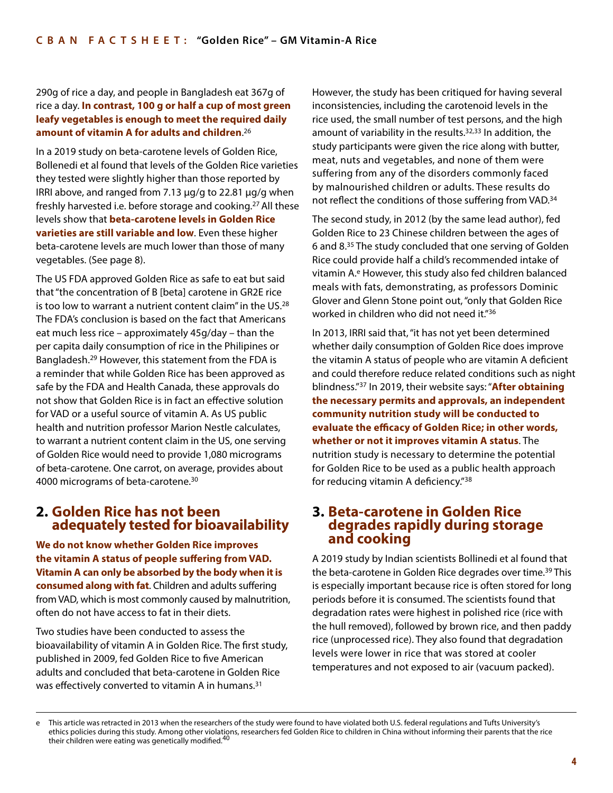#### 290g of rice a day, and people in Bangladesh eat 367g of rice a day. **In contrast, 100 g or half a cup of most green leafy vegetables is enough to meet the required daily amount of vitamin A for adults and children**. 26

In a 2019 study on beta-carotene levels of Golden Rice, Bollenedi et al found that levels of the Golden Rice varieties they tested were slightly higher than those reported by IRRI above, and ranged from 7.13 μg/g to 22.81 μg/g when freshly harvested i.e. before storage and cooking.27 All these levels show that **beta-carotene levels in Golden Rice varieties are still variable and low**. Even these higher beta-carotene levels are much lower than those of many vegetables. (See page 8).

The US FDA approved Golden Rice as safe to eat but said that "the concentration of B [beta] carotene in GR2E rice is too low to warrant a nutrient content claim" in the US.28 The FDA's conclusion is based on the fact that Americans eat much less rice – approximately 45g/day – than the per capita daily consumption of rice in the Philipines or Bangladesh.29 However, this statement from the FDA is a reminder that while Golden Rice has been approved as safe by the FDA and Health Canada, these approvals do not show that Golden Rice is in fact an effective solution for VAD or a useful source of vitamin A. As US public health and nutrition professor Marion Nestle calculates, to warrant a nutrient content claim in the US, one serving of Golden Rice would need to provide 1,080 micrograms of beta-carotene. One carrot, on average, provides about 4000 micrograms of beta-carotene.30

#### **2. Golden Rice has not been adequately tested for bioavailability**

**We do not know whether Golden Rice improves the vitamin A status of people suffering from VAD. Vitamin A can only be absorbed by the body when it is consumed along with fat**. Children and adults suffering from VAD, which is most commonly caused by malnutrition, often do not have access to fat in their diets.

Two studies have been conducted to assess the bioavailability of vitamin A in Golden Rice. The first study, published in 2009, fed Golden Rice to five American adults and concluded that beta-carotene in Golden Rice was effectively converted to vitamin A in humans.<sup>31</sup>

However, the study has been critiqued for having several inconsistencies, including the carotenoid levels in the rice used, the small number of test persons, and the high amount of variability in the results. $32,33$  In addition, the study participants were given the rice along with butter, meat, nuts and vegetables, and none of them were suffering from any of the disorders commonly faced by malnourished children or adults. These results do not reflect the conditions of those suffering from VAD.<sup>34</sup>

The second study, in 2012 (by the same lead author), fed Golden Rice to 23 Chinese children between the ages of 6 and 8.35 The study concluded that one serving of Golden Rice could provide half a child's recommended intake of vitamin A.e However, this study also fed children balanced meals with fats, demonstrating, as professors Dominic Glover and Glenn Stone point out, "only that Golden Rice worked in children who did not need it."36

In 2013, IRRI said that, "it has not yet been determined whether daily consumption of Golden Rice does improve the vitamin A status of people who are vitamin A deficient and could therefore reduce related conditions such as night blindness."37 In 2019, their website says: "**After obtaining the necessary permits and approvals, an independent community nutrition study will be conducted to evaluate the efficacy of Golden Rice; in other words, whether or not it improves vitamin A status**. The nutrition study is necessary to determine the potential for Golden Rice to be used as a public health approach for reducing vitamin A deficiency."38

#### **3. Beta-carotene in Golden Rice degrades rapidly during storage and cooking**

A 2019 study by Indian scientists Bollinedi et al found that the beta-carotene in Golden Rice degrades over time.<sup>39</sup> This is especially important because rice is often stored for long periods before it is consumed. The scientists found that degradation rates were highest in polished rice (rice with the hull removed), followed by brown rice, and then paddy rice (unprocessed rice). They also found that degradation levels were lower in rice that was stored at cooler temperatures and not exposed to air (vacuum packed).

e This article was retracted in 2013 when the researchers of the study were found to have violated both U.S. federal regulations and Tufts University's ethics policies during this study. Among other violations, researchers fed Golden Rice to children in China without informing their parents that the rice their children were eating was genetically modified.<sup>40</sup>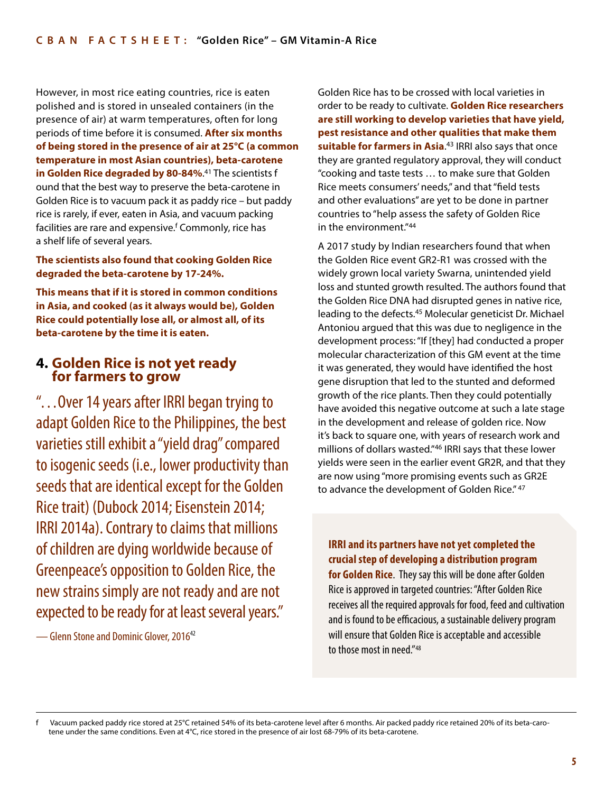However, in most rice eating countries, rice is eaten polished and is stored in unsealed containers (in the presence of air) at warm temperatures, often for long periods of time before it is consumed. **After six months of being stored in the presence of air at 25°C (a common temperature in most Asian countries), beta-carotene in Golden Rice degraded by 80-84%**. 41 The scientists f ound that the best way to preserve the beta-carotene in Golden Rice is to vacuum pack it as paddy rice – but paddy rice is rarely, if ever, eaten in Asia, and vacuum packing facilities are rare and expensive.<sup>f</sup> Commonly, rice has a shelf life of several years.

**The scientists also found that cooking Golden Rice degraded the beta-carotene by 17-24%.** 

**This means that if it is stored in common conditions in Asia, and cooked (as it always would be), Golden Rice could potentially lose all, or almost all, of its beta-carotene by the time it is eaten.** 

#### **4. Golden Rice is not yet ready for farmers to grow**

"…Over 14 years after IRRI began trying to adapt Golden Rice to the Philippines, the best varieties still exhibit a "yield drag" compared to isogenic seeds (i.e., lower productivity than seeds that are identical except for the Golden Rice trait) (Dubock 2014; Eisenstein 2014; IRRI 2014a). Contrary to claims that millions of children are dying worldwide because of Greenpeace's opposition to Golden Rice, the new strains simply are not ready and are not expected to be ready for at least several years."

— Glenn Stone and Dominic Glover, 2016<sup>42</sup>

Golden Rice has to be crossed with local varieties in order to be ready to cultivate. **Golden Rice researchers are still working to develop varieties that have yield, pest resistance and other qualities that make them suitable for farmers in Asia**. 43 IRRI also says that once they are granted regulatory approval, they will conduct "cooking and taste tests … to make sure that Golden Rice meets consumers' needs," and that "field tests and other evaluations" are yet to be done in partner countries to "help assess the safety of Golden Rice in the environment."44

A 2017 study by Indian researchers found that when the Golden Rice event GR2-R1 was crossed with the widely grown local variety Swarna, unintended yield loss and stunted growth resulted. The authors found that the Golden Rice DNA had disrupted genes in native rice, leading to the defects.45 Molecular geneticist Dr. Michael Antoniou argued that this was due to negligence in the development process: "If [they] had conducted a proper molecular characterization of this GM event at the time it was generated, they would have identified the host gene disruption that led to the stunted and deformed growth of the rice plants. Then they could potentially have avoided this negative outcome at such a late stage in the development and release of golden rice. Now it's back to square one, with years of research work and millions of dollars wasted."46 IRRI says that these lower yields were seen in the earlier event GR2R, and that they are now using "more promising events such as GR2E to advance the development of Golden Rice." 47

**IRRI and its partners have not yet completed the crucial step of developing a distribution program for Golden Rice**. They say this will be done after Golden Rice is approved in targeted countries: "After Golden Rice receives all the required approvals for food, feed and cultivation and is found to be efficacious, a sustainable delivery program will ensure that Golden Rice is acceptable and accessible to those most in need."48

Vacuum packed paddy rice stored at 25°C retained 54% of its beta-carotene level after 6 months. Air packed paddy rice retained 20% of its beta-carotene under the same conditions. Even at 4°C, rice stored in the presence of air lost 68-79% of its beta-carotene.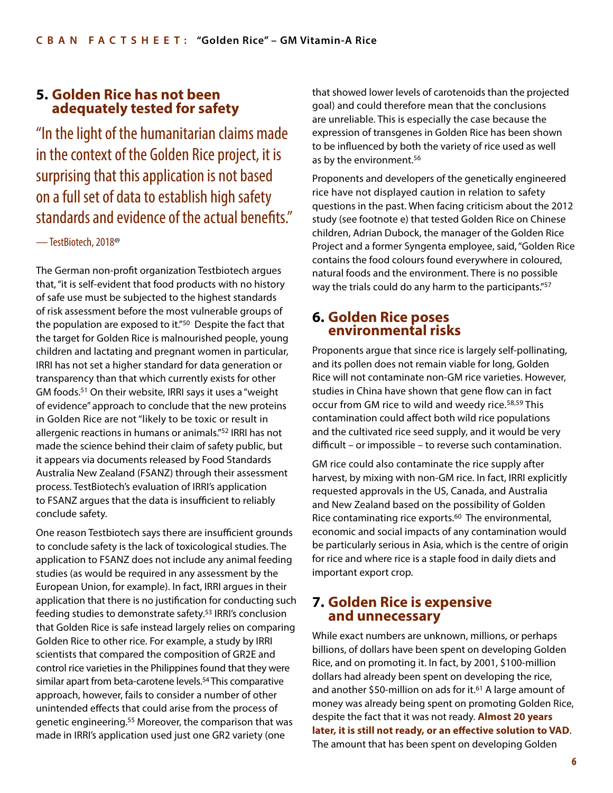#### **5. Golden Rice has not been adequately tested for safety**

"In the light of the humanitarian claims made in the context of the Golden Rice project, it is surprising that this application is not based on a full set of data to establish high safety standards and evidence of the actual benefits."

#### — TestBiotech, 201849

The German non-profit organization Testbiotech argues that, "it is self-evident that food products with no history of safe use must be subjected to the highest standards of risk assessment before the most vulnerable groups of the population are exposed to it."50 Despite the fact that the target for Golden Rice is malnourished people, young children and lactating and pregnant women in particular, IRRI has not set a higher standard for data generation or transparency than that which currently exists for other GM foods.51 On their website, IRRI says it uses a "weight of evidence" approach to conclude that the new proteins in Golden Rice are not "likely to be toxic or result in allergenic reactions in humans or animals."52 IRRI has not made the science behind their claim of safety public, but it appears via documents released by Food Standards Australia New Zealand (FSANZ) through their assessment process. TestBiotech's evaluation of IRRI's application to FSANZ argues that the data is insufficient to reliably conclude safety.

One reason Testbiotech says there are insufficient grounds to conclude safety is the lack of toxicological studies. The application to FSANZ does not include any animal feeding studies (as would be required in any assessment by the European Union, for example). In fact, IRRI argues in their application that there is no justification for conducting such feeding studies to demonstrate safety.53 IRRI's conclusion that Golden Rice is safe instead largely relies on comparing Golden Rice to other rice. For example, a study by IRRI scientists that compared the composition of GR2E and control rice varieties in the Philippines found that they were similar apart from beta-carotene levels.<sup>54</sup> This comparative approach, however, fails to consider a number of other unintended effects that could arise from the process of genetic engineering.55 Moreover, the comparison that was made in IRRI's application used just one GR2 variety (one

that showed lower levels of carotenoids than the projected goal) and could therefore mean that the conclusions are unreliable. This is especially the case because the expression of transgenes in Golden Rice has been shown to be influenced by both the variety of rice used as well as by the environment.<sup>56</sup>

Proponents and developers of the genetically engineered rice have not displayed caution in relation to safety questions in the past. When facing criticism about the 2012 study (see footnote e) that tested Golden Rice on Chinese children, Adrian Dubock, the manager of the Golden Rice Project and a former Syngenta employee, said, "Golden Rice contains the food colours found everywhere in coloured, natural foods and the environment. There is no possible way the trials could do any harm to the participants."<sup>57</sup>

#### **6. Golden Rice poses environmental risks**

Proponents argue that since rice is largely self-pollinating, and its pollen does not remain viable for long, Golden Rice will not contaminate non-GM rice varieties. However, studies in China have shown that gene flow can in fact occur from GM rice to wild and weedy rice.58,59 This contamination could affect both wild rice populations and the cultivated rice seed supply, and it would be very difficult – or impossible – to reverse such contamination.

GM rice could also contaminate the rice supply after harvest, by mixing with non-GM rice. In fact, IRRI explicitly requested approvals in the US, Canada, and Australia and New Zealand based on the possibility of Golden Rice contaminating rice exports.<sup>60</sup> The environmental, economic and social impacts of any contamination would be particularly serious in Asia, which is the centre of origin for rice and where rice is a staple food in daily diets and important export crop.

#### **7. Golden Rice is expensive and unnecessary**

While exact numbers are unknown, millions, or perhaps billions, of dollars have been spent on developing Golden Rice, and on promoting it. In fact, by 2001, \$100-million dollars had already been spent on developing the rice, and another \$50-million on ads for it.<sup>61</sup> A large amount of money was already being spent on promoting Golden Rice, despite the fact that it was not ready. **Almost 20 years later, it is still not ready, or an effective solution to VAD**. The amount that has been spent on developing Golden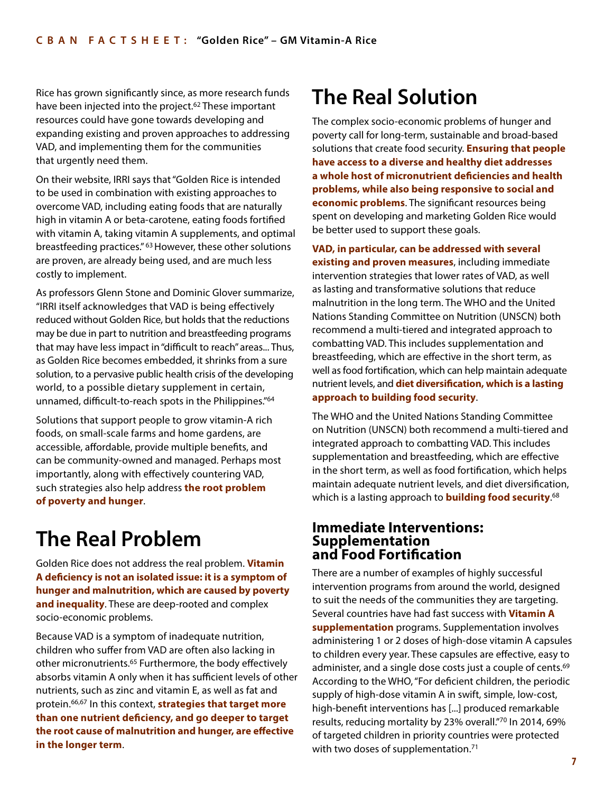Rice has grown significantly since, as more research funds have been injected into the project.<sup>62</sup> These important resources could have gone towards developing and expanding existing and proven approaches to addressing VAD, and implementing them for the communities that urgently need them.

On their website, IRRI says that "Golden Rice is intended to be used in combination with existing approaches to overcome VAD, including eating foods that are naturally high in vitamin A or beta-carotene, eating foods fortified with vitamin A, taking vitamin A supplements, and optimal breastfeeding practices." 63 However, these other solutions are proven, are already being used, and are much less costly to implement.

As professors Glenn Stone and Dominic Glover summarize, "IRRI itself acknowledges that VAD is being effectively reduced without Golden Rice, but holds that the reductions may be due in part to nutrition and breastfeeding programs that may have less impact in "difficult to reach" areas... Thus, as Golden Rice becomes embedded, it shrinks from a sure solution, to a pervasive public health crisis of the developing world, to a possible dietary supplement in certain, unnamed, difficult-to-reach spots in the Philippines."64

Solutions that support people to grow vitamin-A rich foods, on small-scale farms and home gardens, are accessible, affordable, provide multiple benefits, and can be community-owned and managed. Perhaps most importantly, along with effectively countering VAD, such strategies also help address **the root problem of poverty and hunger**.

## **The Real Problem**

Golden Rice does not address the real problem. **Vitamin A deficiency is not an isolated issue: it is a symptom of hunger and malnutrition, which are caused by poverty and inequality**. These are deep-rooted and complex socio-economic problems.

Because VAD is a symptom of inadequate nutrition, children who suffer from VAD are often also lacking in other micronutrients.65 Furthermore, the body effectively absorbs vitamin A only when it has sufficient levels of other nutrients, such as zinc and vitamin E, as well as fat and protein.66,67 In this context, **strategies that target more than one nutrient deficiency, and go deeper to target the root cause of malnutrition and hunger, are effective in the longer term**.

# **The Real Solution**

The complex socio-economic problems of hunger and poverty call for long-term, sustainable and broad-based solutions that create food security. **Ensuring that people have access to a diverse and healthy diet addresses a whole host of micronutrient deficiencies and health problems, while also being responsive to social and economic problems**. The significant resources being spent on developing and marketing Golden Rice would be better used to support these goals.

**VAD, in particular, can be addressed with several existing and proven measures**, including immediate intervention strategies that lower rates of VAD, as well as lasting and transformative solutions that reduce malnutrition in the long term. The WHO and the United Nations Standing Committee on Nutrition (UNSCN) both recommend a multi-tiered and integrated approach to combatting VAD. This includes supplementation and breastfeeding, which are effective in the short term, as well as food fortification, which can help maintain adequate nutrient levels, and **diet diversification, which is a lasting approach to building food security**.

The WHO and the United Nations Standing Committee on Nutrition (UNSCN) both recommend a multi-tiered and integrated approach to combatting VAD. This includes supplementation and breastfeeding, which are effective in the short term, as well as food fortification, which helps maintain adequate nutrient levels, and diet diversification, which is a lasting approach to **building food security**. 68

#### **Immediate Interventions: Supplementation and Food Fortification**

There are a number of examples of highly successful intervention programs from around the world, designed to suit the needs of the communities they are targeting. Several countries have had fast success with **Vitamin A supplementation** programs. Supplementation involves administering 1 or 2 doses of high-dose vitamin A capsules to children every year. These capsules are effective, easy to administer, and a single dose costs just a couple of cents.<sup>69</sup> According to the WHO, "For deficient children, the periodic supply of high-dose vitamin A in swift, simple, low-cost, high-benefit interventions has [...] produced remarkable results, reducing mortality by 23% overall."70 In 2014, 69% of targeted children in priority countries were protected with two doses of supplementation.<sup>71</sup>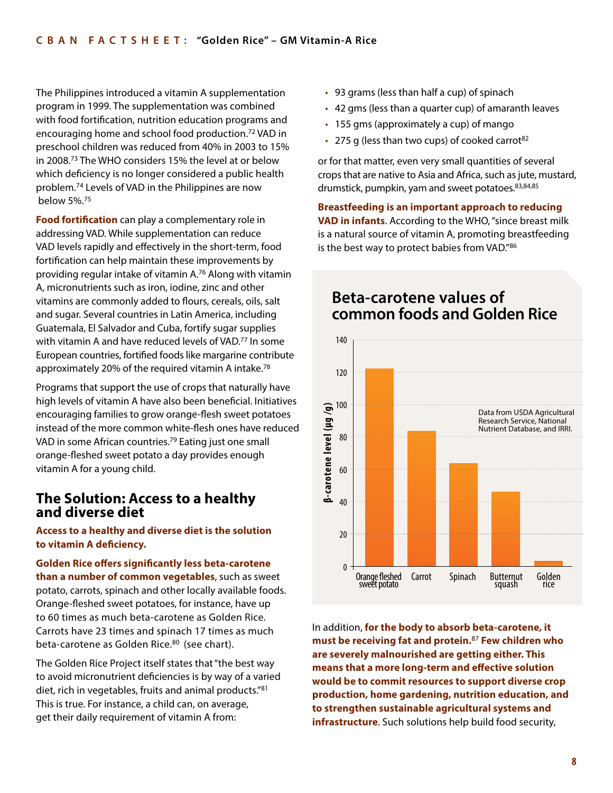The Philippines introduced a vitamin A supplementation program in 1999. The supplementation was combined with food fortification, nutrition education programs and encouraging home and school food production.72 VAD in preschool children was reduced from 40% in 2003 to 15% in 2008.73 The WHO considers 15% the level at or below which deficiency is no longer considered a public health problem.74 Levels of VAD in the Philippines are now below 5%.75

**Food fortification** can play a complementary role in addressing VAD. While supplementation can reduce VAD levels rapidly and effectively in the short-term, food fortification can help maintain these improvements by providing regular intake of vitamin A.76 Along with vitamin A, micronutrients such as iron, iodine, zinc and other vitamins are commonly added to flours, cereals, oils, salt and sugar. Several countries in Latin America, including Guatemala, El Salvador and Cuba, fortify sugar supplies with vitamin A and have reduced levels of VAD.<sup>77</sup> In some European countries, fortified foods like margarine contribute approximately 20% of the required vitamin A intake.78

Programs that support the use of crops that naturally have high levels of vitamin A have also been beneficial. Initiatives encouraging families to grow orange-flesh sweet potatoes instead of the more common white-flesh ones have reduced VAD in some African countries.79 Eating just one small orange-fleshed sweet potato a day provides enough vitamin A for a young child.

#### **The Solution: Access to a healthy and diverse diet**

**Access to a healthy and diverse diet is the solution to vitamin A deficiency.** 

**Golden Rice offers significantly less beta-carotene than a number of common vegetables**, such as sweet potato, carrots, spinach and other locally available foods. Orange-fleshed sweet potatoes, for instance, have up to 60 times as much beta-carotene as Golden Rice. Carrots have 23 times and spinach 17 times as much beta-carotene as Golden Rice.<sup>80</sup> (see chart).

The Golden Rice Project itself states that "the best way to avoid micronutrient deficiencies is by way of a varied diet, rich in vegetables, fruits and animal products."81 This is true. For instance, a child can, on average, get their daily requirement of vitamin A from:

- 93 grams (less than half a cup) of spinach
- 42 gms (less than a quarter cup) of amaranth leaves
- 155 gms (approximately a cup) of mango
- 275 g (less than two cups) of cooked carrot<sup>82</sup>

or for that matter, even very small quantities of several crops that are native to Asia and Africa, such as jute, mustard, drumstick, pumpkin, yam and sweet potatoes. 83,84,85

**Breastfeeding is an important approach to reducing VAD in infants**. According to the WHO, "since breast milk is a natural source of vitamin A, promoting breastfeeding is the best way to protect babies from VAD."86



In addition, **for the body to absorb beta-carotene, it must be receiving fat and protein.**<sup>87</sup> **Few children who are severely malnourished are getting either. This means that a more long-term and effective solution would be to commit resources to support diverse crop production, home gardening, nutrition education, and to strengthen sustainable agricultural systems and infrastructure**. Such solutions help build food security,

### **Beta-carotene values of common foods and Golden Rice**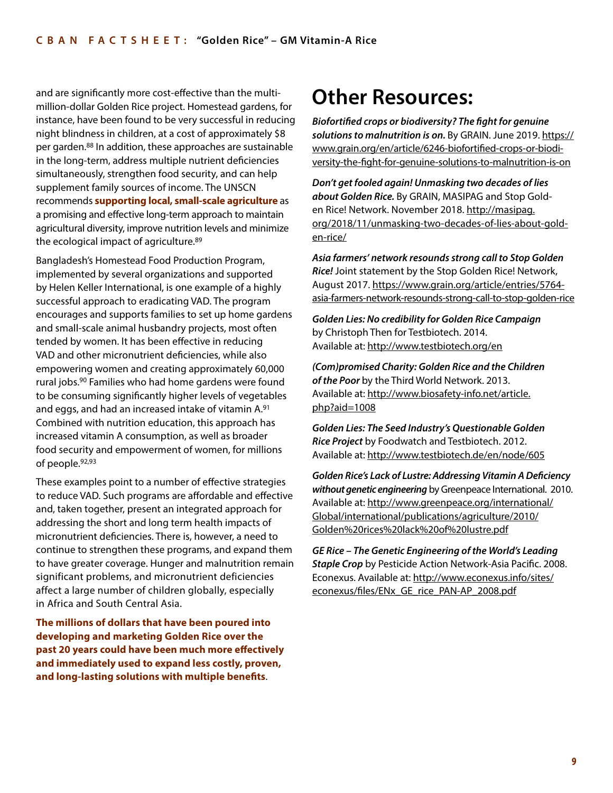and are significantly more cost-effective than the multimillion-dollar Golden Rice project. Homestead gardens, for instance, have been found to be very successful in reducing night blindness in children, at a cost of approximately \$8 per garden.88 In addition, these approaches are sustainable in the long-term, address multiple nutrient deficiencies simultaneously, strengthen food security, and can help supplement family sources of income. The UNSCN recommends **supporting local, small-scale agriculture** as a promising and effective long-term approach to maintain agricultural diversity, improve nutrition levels and minimize the ecological impact of agriculture.89

Bangladesh's Homestead Food Production Program, implemented by several organizations and supported by Helen Keller International, is one example of a highly successful approach to eradicating VAD. The program encourages and supports families to set up home gardens and small-scale animal husbandry projects, most often tended by women. It has been effective in reducing VAD and other micronutrient deficiencies, while also empowering women and creating approximately 60,000 rural jobs.90 Families who had home gardens were found to be consuming significantly higher levels of vegetables and eggs, and had an increased intake of vitamin A.91 Combined with nutrition education, this approach has increased vitamin A consumption, as well as broader food security and empowerment of women, for millions of people.92,93

These examples point to a number of effective strategies to reduce VAD. Such programs are affordable and effective and, taken together, present an integrated approach for addressing the short and long term health impacts of micronutrient deficiencies. There is, however, a need to continue to strengthen these programs, and expand them to have greater coverage. Hunger and malnutrition remain significant problems, and micronutrient deficiencies affect a large number of children globally, especially in Africa and South Central Asia.

**The millions of dollars that have been poured into developing and marketing Golden Rice over the past 20 years could have been much more effectively and immediately used to expand less costly, proven, and long-lasting solutions with multiple benefits**.

## **Other Resources:**

*Biofortified crops or biodiversity? The fight for genuine*  solutions to malnutrition is on. By GRAIN. June 2019. [https://](https://www.grain.org/en/article/6246-biofortified-crops-or-biodiversity-the-fight-for-genuine-solutions-to-malnutrition-is-on) [www.grain.org/en/article/6246-biofortified-crops-or-biodi](https://www.grain.org/en/article/6246-biofortified-crops-or-biodiversity-the-fight-for-genuine-solutions-to-malnutrition-is-on)[versity-the-fight-for-genuine-solutions-to-malnutrition-is-on](https://www.grain.org/en/article/6246-biofortified-crops-or-biodiversity-the-fight-for-genuine-solutions-to-malnutrition-is-on)

*Don't get fooled again! Unmasking two decades of lies about Golden Rice.* By GRAIN, MASIPAG and Stop Golden Rice! Network. November 2018. [http://masipag.](http://masipag.org/2018/11/unmasking-two-decades-of-lies-about-golden-rice/) [org/2018/11/unmasking-two-decades-of-lies-about-gold](http://masipag.org/2018/11/unmasking-two-decades-of-lies-about-golden-rice/)[en-rice/](http://masipag.org/2018/11/unmasking-two-decades-of-lies-about-golden-rice/)

*Asia farmers' network resounds strong call to Stop Golden Rice!* Joint statement by the Stop Golden Rice! Network, August 2017. [https://www.grain.org/article/entries/5764](https://www.grain.org/article/entries/5764-asia-farmers-network-resounds-strong-call-to-stop-golden-rice) [asia-farmers-network-resounds-strong-call-to-stop-golden-rice](https://www.grain.org/article/entries/5764-asia-farmers-network-resounds-strong-call-to-stop-golden-rice)

*Golden Lies: No credibility for Golden Rice Campaign* by Christoph Then for Testbiotech. 2014. Available at:<http://www.testbiotech.org/en>

*(Com)promised Charity: Golden Rice and the Children of the Poor* by the Third World Network. 2013. Available at: [http://www.biosafety-info.net/article.](http://www.biosafety-info.net/article.php?aid=1008) [php?aid=1008](http://www.biosafety-info.net/article.php?aid=1008)

*Golden Lies: The Seed Industry's Questionable Golden Rice Project* by Foodwatch and Testbiotech. 2012. Available at:<http://www.testbiotech.de/en/node/605>

*Golden Rice's Lack of Lustre: Addressing Vitamin A Deficiency without genetic engineering* by Greenpeace International. 2010. Available at: [http://www.greenpeace.org/international/](http://www.greenpeace.org/international/Global/international/publications/agriculture/2010/ Golden%20rices%20lack%20of%20lustre.pdf) [Global/international/publications/agriculture/2010/](http://www.greenpeace.org/international/Global/international/publications/agriculture/2010/ Golden%20rices%20lack%20of%20lustre.pdf) [Golden%20rices%20lack%20of%20lustre.pdf](http://www.greenpeace.org/international/Global/international/publications/agriculture/2010/ Golden%20rices%20lack%20of%20lustre.pdf)

*GE Rice – The Genetic Engineering of the World's Leading Staple Crop* by Pesticide Action Network-Asia Pacific. 2008. Econexus. Available at: [http://www.econexus.info/sites/](http://www.econexus.info/sites/econexus/files/ENx_GE_rice_PAN-AP_2008.pdf) [econexus/files/ENx\\_GE\\_rice\\_PAN-AP\\_2008.pdf](http://www.econexus.info/sites/econexus/files/ENx_GE_rice_PAN-AP_2008.pdf)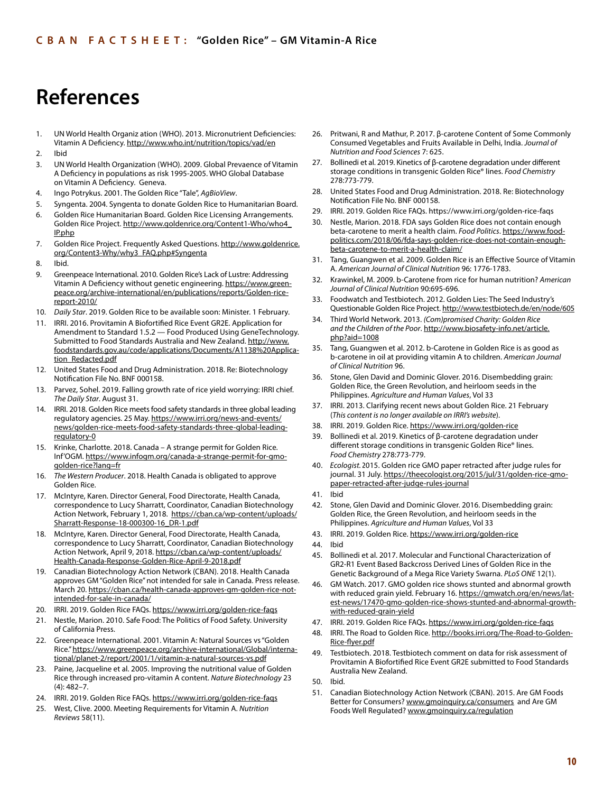## **References**

- 1. UN World Health Organiz ation (WHO). 2013. Micronutrient Deficiencies: Vitamin A Deficiency. <http://www.who.int/nutrition/topics/vad/en>
- 2. Ibid
- 3. UN World Health Organization (WHO). 2009. Global Prevaence of Vitamin A Deficiency in populations as risk 1995-2005. WHO Global Database on Vitamin A Deficiency. Geneva.
- 4. Ingo Potrykus. 2001. The Golden Rice "Tale", *AgBioView*.
- 5. Syngenta. 2004. Syngenta to donate Golden Rice to Humanitarian Board.
- 6. Golden Rice Humanitarian Board. Golden Rice Licensing Arrangements. Golden Rice Project. [http://www.goldenrice.org/Content1-Who/who4\\_](http://www.goldenrice.org/Content1-Who/who4_IP.php) [IP.php](http://www.goldenrice.org/Content1-Who/who4_IP.php)
- 7. Golden Rice Project. Frequently Asked Questions. [http://www.goldenrice.](http://www.goldenrice.org/Content3-Why/why3_FAQ.php#Syngenta) [org/Content3-Why/why3\\_FAQ.php#Syngenta](http://www.goldenrice.org/Content3-Why/why3_FAQ.php#Syngenta)
- 8. Ibid.
- 9. Greenpeace International. 2010. Golden Rice's Lack of Lustre: Addressing Vitamin A Deficiency without genetic engineering. [https://www.green](https://www.greenpeace.org/archive-international/en/publications/reports/Golden-rice-report-2010/)[peace.org/archive-international/en/publications/reports/Golden-rice](https://www.greenpeace.org/archive-international/en/publications/reports/Golden-rice-report-2010/)[report-2010/](https://www.greenpeace.org/archive-international/en/publications/reports/Golden-rice-report-2010/)
- 10. *Daily Star*. 2019. Golden Rice to be available soon: Minister. 1 February.
- 11. IRRI. 2016. Provitamin A Biofortified Rice Event GR2E. Application for Amendment to Standard 1.5.2 — Food Produced Using GeneTechnology. Submitted to Food Standards Australia and New Zealand. [http://www.](http://www.foodstandards.gov.au/code/applications/Documents/A1138%20Application_Redacted.pdf) [foodstandards.gov.au/code/applications/Documents/A1138%20Applica](http://www.foodstandards.gov.au/code/applications/Documents/A1138%20Application_Redacted.pdf)[tion\\_Redacted.pdf](http://www.foodstandards.gov.au/code/applications/Documents/A1138%20Application_Redacted.pdf)
- 12. United States Food and Drug Administration. 2018. Re: Biotechnology Notification File No. BNF 000158.
- 13. Parvez, Sohel. 2019. Falling growth rate of rice yield worrying: IRRI chief. *The Daily Star*. August 31.
- 14. IRRI. 2018. Golden Rice meets food safety standards in three global leading regulatory agencies. 25 May. [https://www.irri.org/news-and-events/](https://www.irri.org/news-and-events/news/golden-rice-meets-food-safety-standards-three-global-leading-regulatory-0) [news/golden-rice-meets-food-safety-standards-three-global-leading](https://www.irri.org/news-and-events/news/golden-rice-meets-food-safety-standards-three-global-leading-regulatory-0)[regulatory-0](https://www.irri.org/news-and-events/news/golden-rice-meets-food-safety-standards-three-global-leading-regulatory-0)
- 15. Krinke, Charlotte. 2018. Canada A strange permit for Golden Rice. Inf'OGM. [https://www.infogm.org/canada-a-strange-permit-for-gmo](https://www.infogm.org/canada-a-strange-permit-for-gmo-golden-rice?lang=fr)[golden-rice?lang=fr](https://www.infogm.org/canada-a-strange-permit-for-gmo-golden-rice?lang=fr)
- 16. *The Western Producer*. 2018. Health Canada is obligated to approve Golden Rice.
- 17. McIntyre, Karen. Director General, Food Directorate, Health Canada, correspondence to Lucy Sharratt, Coordinator, Canadian Biotechnology Action Network, February 1, 2018. [https://cban.ca/wp-content/uploads/](https://cban.ca/wp-content/uploads/Sharratt-Response-18-000300-16_DR-1.pdf) [Sharratt-Response-18-000300-16\\_DR-1.pdf](https://cban.ca/wp-content/uploads/Sharratt-Response-18-000300-16_DR-1.pdf)
- 18. McIntyre, Karen. Director General, Food Directorate, Health Canada, correspondence to Lucy Sharratt, Coordinator, Canadian Biotechnology Action Network, April 9, 2018. [https://cban.ca/wp-content/uploads/](https://cban.ca/wp-content/uploads/Health-Canada-Response-Golden-Rice-April-9-2018.pdf) [Health-Canada-Response-Golden-Rice-April-9-2018.pdf](https://cban.ca/wp-content/uploads/Health-Canada-Response-Golden-Rice-April-9-2018.pdf)
- 19. Canadian Biotechnology Action Network (CBAN). 2018. Health Canada approves GM "Golden Rice" not intended for sale in Canada. Press release. March 20. [https://cban.ca/health-canada-approves-gm-golden-rice-not](https://cban.ca/health-canada-approves-gm-golden-rice-not-intended-for-sale-in-canada/)[intended-for-sale-in-canada/](https://cban.ca/health-canada-approves-gm-golden-rice-not-intended-for-sale-in-canada/)
- 20. IRRI. 2019. Golden Rice FAQs.<https://www.irri.org/golden-rice-faqs>
- 21. Nestle, Marion. 2010. Safe Food: The Politics of Food Safety. University of California Press.
- 22. Greenpeace International. 2001. Vitamin A: Natural Sources vs "Golden Rice." [https://www.greenpeace.org/archive-international/Global/interna](https://www.greenpeace.org/archive-international/Global/international/planet-2/report/2001/1/vitamin-a-natural-sources-vs.pdf)[tional/planet-2/report/2001/1/vitamin-a-natural-sources-vs.pdf](https://www.greenpeace.org/archive-international/Global/international/planet-2/report/2001/1/vitamin-a-natural-sources-vs.pdf)
- 23. Paine, Jacqueline et al. 2005. Improving the nutritional value of Golden Rice through increased pro-vitamin A content. *Nature Biotechnology* 23 (4): 482–7.
- 24. IRRI. 2019. Golden Rice FAQs.<https://www.irri.org/golden-rice-faqs>
- 25. West, Clive. 2000. Meeting Requirements for Vitamin A. *Nutrition Reviews* 58(11).
- 26. Pritwani, R and Mathur, P. 2017. β-carotene Content of Some Commonly Consumed Vegetables and Fruits Available in Delhi, India. *Journal of Nutrition and Food Sciences* 7: 625.
- 27. Bollinedi et al. 2019. Kinetics of β-carotene degradation under different storage conditions in transgenic Golden Rice® lines. *Food Chemistry* 278:773-779.
- 28. United States Food and Drug Administration. 2018. Re: Biotechnology Notification File No. BNF 000158.
- 29. IRRI. 2019. Golden Rice FAQs.<https://www.irri.org/golden-rice-faqs>
- 30. Nestle, Marion. 2018. FDA says Golden Rice does not contain enough beta-carotene to merit a health claim. *Food Politics*. [https://www.food](https://www.foodpolitics.com/2018/06/fda-says-golden-rice-does-not-contain-enough-beta-carotene-to-merit-a-health-claim/)[politics.com/2018/06/fda-says-golden-rice-does-not-contain-enough](https://www.foodpolitics.com/2018/06/fda-says-golden-rice-does-not-contain-enough-beta-carotene-to-merit-a-health-claim/)[beta-carotene-to-merit-a-health-claim/](https://www.foodpolitics.com/2018/06/fda-says-golden-rice-does-not-contain-enough-beta-carotene-to-merit-a-health-claim/)
- 31. Tang, Guangwen et al. 2009. Golden Rice is an Effective Source of Vitamin A. *American Journal of Clinical Nutrition* 96: 1776-1783.
- 32. Krawinkel, M. 2009. b-Carotene from rice for human nutrition? *American Journal of Clinical Nutrition* 90:695-696.
- 33. Foodwatch and Testbiotech. 2012. Golden Lies: The Seed Industry's Questionable Golden Rice Project.<http://www.testbiotech.de/en/node/605>
- 34. Third World Network. 2013. *(Com)promised Charity: Golden Rice and the Children of the Poor*. [http://www.biosafety-info.net/article.](http://www.biosafety-info.net/article.php?aid=1008) [php?aid=1008](http://www.biosafety-info.net/article.php?aid=1008)
- 35. Tang, Guangwen et al. 2012. b-Carotene in Golden Rice is as good as b-carotene in oil at providing vitamin A to children. *American Journal of Clinical Nutrition* 96.
- 36. Stone, Glen David and Dominic Glover. 2016. Disembedding grain: Golden Rice, the Green Revolution, and heirloom seeds in the Philippines. *Agriculture and Human Values*, Vol 33
- 37. IRRI. 2013. Clarifying recent news about Golden Rice. 21 February (*This content is no longer available on IRRI's website*).
- 38. IRRI. 2019. Golden Rice. <https://www.irri.org/golden-rice>
- 39. Bollinedi et al. 2019. Kinetics of β-carotene degradation under different storage conditions in transgenic Golden Rice® lines. *Food Chemistry* 278:773-779.
- 40. Ecologist. 2015. Golden rice GMO paper retracted after judge rules for journal. 31 July. [https://theecologist.org/2015/jul/31/golden-rice-gmo](https://theecologist.org/2015/jul/31/golden-rice-gmo-paper-retracted-after-judge-rules-journal)[paper-retracted-after-judge-rules-journal](https://theecologist.org/2015/jul/31/golden-rice-gmo-paper-retracted-after-judge-rules-journal)
- 41. Ibid
- 42. Stone, Glen David and Dominic Glover. 2016. Disembedding grain: Golden Rice, the Green Revolution, and heirloom seeds in the Philippines. *Agriculture and Human Values*, Vol 33
- 43. IRRI. 2019. Golden Rice. <https://www.irri.org/golden-rice>
- 44. Ibid
- 45. Bollinedi et al. 2017. Molecular and Functional Characterization of GR2-R1 Event Based Backcross Derived Lines of Golden Rice in the Genetic Background of a Mega Rice Variety Swarna. *PLoS ONE* 12(1).
- 46. GM Watch. 2017. GMO golden rice shows stunted and abnormal growth with reduced grain yield. February 16. [https://gmwatch.org/en/news/lat](https://gmwatch.org/en/news/latest-news/17470-gmo-golden-rice-shows-stunted-and-abnormal-growth-with-reduced-grain-yield)[est-news/17470-gmo-golden-rice-shows-stunted-and-abnormal-growth](https://gmwatch.org/en/news/latest-news/17470-gmo-golden-rice-shows-stunted-and-abnormal-growth-with-reduced-grain-yield)[with-reduced-grain-yield](https://gmwatch.org/en/news/latest-news/17470-gmo-golden-rice-shows-stunted-and-abnormal-growth-with-reduced-grain-yield)
- 47. IRRI. 2019. Golden Rice FAQs.<https://www.irri.org/golden-rice-faqs>
- 48. IRRI. The Road to Golden Rice. [http://books.irri.org/The-Road-to-Golden-](http://books.irri.org/The-Road-to-Golden-Rice-flyer.pdf)[Rice-flyer.pdf](http://books.irri.org/The-Road-to-Golden-Rice-flyer.pdf)
- 49. Testbiotech. 2018. Testbiotech comment on data for risk assessment of Provitamin A Biofortified Rice Event GR2E submitted to Food Standards Australia New Zealand.
- 50. Ibid.
- 51. Canadian Biotechnology Action Network (CBAN). 2015. Are GM Foods Better for Consumers? [www.gmoinquiry.ca/consumers](http://www.gmoinquiry.ca/consumers) and Are GM Foods Well Regulated? [www.gmoinquiry.ca/regulation](http://www.gmoinquiry.ca/regulation)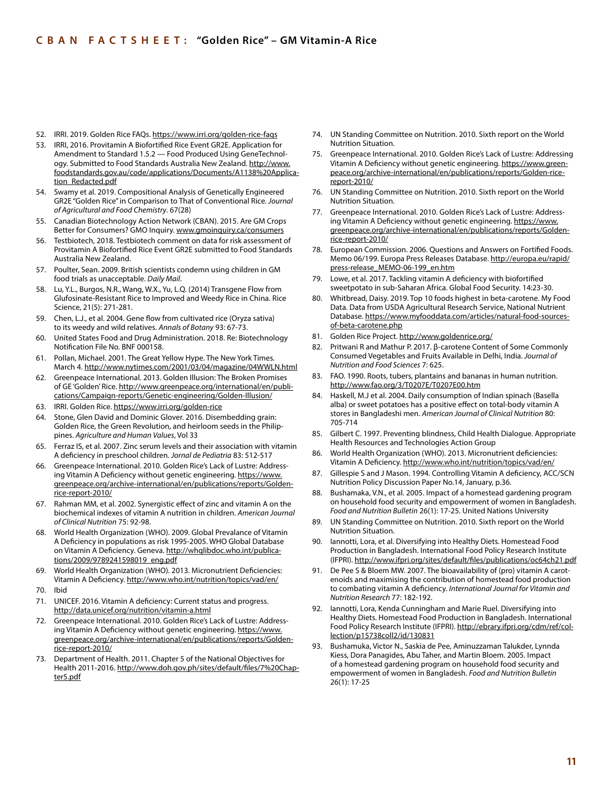- 52. IRRI. 2019. Golden Rice FAQs.<https://www.irri.org/golden-rice-faqs>
- 53. IRRI, 2016. Provitamin A Biofortified Rice Event GR2E. Application for Amendment to Standard 1.5.2 — Food Produced Using GeneTechnology. Submitted to Food Standards Australia New Zealand. [http://www.](http://www.foodstandards.gov.au/code/applications/Documents/A1138%20Application_Redacted.pdf) [foodstandards.gov.au/code/applications/Documents/A1138%20Applica](http://www.foodstandards.gov.au/code/applications/Documents/A1138%20Application_Redacted.pdf)[tion\\_Redacted.pdf](http://www.foodstandards.gov.au/code/applications/Documents/A1138%20Application_Redacted.pdf)
- 54. Swamy et al. 2019. Compositional Analysis of Genetically Engineered GR2E "Golden Rice" in Comparison to That of Conventional Rice. *Journal of Agricultural and Food Chemistry*. 67(28)
- 55. Canadian Biotechnology Action Network (CBAN). 2015. Are GM Crops Better for Consumers? GMO Inquiry. [www.gmoinquiry.ca/consumers](http://www.gmoinquiry.ca/consumers)
- 56. Testbiotech, 2018. Testbiotech comment on data for risk assessment of Provitamin A Biofortified Rice Event GR2E submitted to Food Standards Australia New Zealand.
- 57. Poulter, Sean. 2009. British scientists condemn using children in GM food trials as unacceptable. *Daily Mail*.
- 58. Lu, Y.L., Burgos, N.R., Wang, W.X., Yu, L.Q. (2014) Transgene Flow from Glufosinate-Resistant Rice to Improved and Weedy Rice in China. Rice Science, 21(5): 271-281.
- 59. Chen, L.J., et al. 2004. Gene flow from cultivated rice (Oryza sativa) to its weedy and wild relatives. *Annals of Botany* 93: 67-73.
- 60. United States Food and Drug Administration. 2018. Re: Biotechnology Notification File No. BNF 000158.
- 61. Pollan, Michael. 2001. The Great Yellow Hype. The New York Times. March 4.<http://www.nytimes.com/2001/03/04/magazine/04WWLN.html>
- 62. Greenpeace International. 2013. Golden Illusion: The Broken Promises of GE 'Golden' Rice. [http://www.greenpeace.org/international/en/publi](http://www.greenpeace.org/international/en/publications/Campaign-reports/Genetic-engineering/Golden-Illusion/)[cations/Campaign-reports/Genetic-engineering/Golden-Illusion/](http://www.greenpeace.org/international/en/publications/Campaign-reports/Genetic-engineering/Golden-Illusion/)
- 63. IRRI. Golden Rice. <https://www.irri.org/golden-rice>
- Stone, Glen David and Dominic Glover. 2016. Disembedding grain: Golden Rice, the Green Revolution, and heirloom seeds in the Philippines. *Agriculture and Human Values*, Vol 33
- 65. Ferraz IS, et al. 2007. Zinc serum levels and their association with vitamin A deficiency in preschool children. *Jornal de Pediatria* 83: 512-517
- 66. Greenpeace International. 2010. Golden Rice's Lack of Lustre: Addressing Vitamin A Deficiency without genetic engineering. [https://www.](https://www.greenpeace.org/archive-international/en/publications/reports/Golden-rice-report-2010/) [greenpeace.org/archive-international/en/publications/reports/Golden](https://www.greenpeace.org/archive-international/en/publications/reports/Golden-rice-report-2010/)[rice-report-2010/](https://www.greenpeace.org/archive-international/en/publications/reports/Golden-rice-report-2010/)
- 67. Rahman MM, et al. 2002. Synergistic effect of zinc and vitamin A on the biochemical indexes of vitamin A nutrition in children. *American Journal of Clinical Nutrition* 75: 92-98.
- 68. World Health Organization (WHO). 2009. Global Prevalance of Vitamin A Deficiency in populations as risk 1995-2005. WHO Global Database on Vitamin A Deficiency. Geneva. [http://whqlibdoc.who.int/publica](http://whqlibdoc.who.int/publications/2009/9789241598019_eng.pdf)[tions/2009/9789241598019\\_eng.pdf](http://whqlibdoc.who.int/publications/2009/9789241598019_eng.pdf)
- 69. World Health Organization (WHO). 2013. Micronutrient Deficiencies: Vitamin A Deficiency. <http://www.who.int/nutrition/topics/vad/en/>
- 70. Ibid
- 71. UNICEF. 2016. Vitamin A deficiency: Current status and progress. <http://data.unicef.org/nutrition/vitamin-a.html>
- 72. Greenpeace International. 2010. Golden Rice's Lack of Lustre: Addressing Vitamin A Deficiency without genetic engineering. [https://www.](https://www.greenpeace.org/archive-international/en/publications/reports/Golden-rice-report-2010/) [greenpeace.org/archive-international/en/publications/reports/Golden](https://www.greenpeace.org/archive-international/en/publications/reports/Golden-rice-report-2010/)[rice-report-2010/](https://www.greenpeace.org/archive-international/en/publications/reports/Golden-rice-report-2010/)
- 73. Department of Health. 2011. Chapter 5 of the National Objectives for Health 2011-2016. [http://www.doh.gov.ph/sites/default/files/7%20Chap](http://www.doh.gov.ph/sites/default/files/7%20Chapter5.pdf)[ter5.pdf](http://www.doh.gov.ph/sites/default/files/7%20Chapter5.pdf)
- 74. UN Standing Committee on Nutrition. 2010. Sixth report on the World Nutrition Situation.
- 75. Greenpeace International. 2010. Golden Rice's Lack of Lustre: Addressing Vitamin A Deficiency without genetic engineering. [https://www.green](https://www.greenpeace.org/archive-international/en/publications/reports/Golden-rice-report-2010/)[peace.org/archive-international/en/publications/reports/Golden-rice](https://www.greenpeace.org/archive-international/en/publications/reports/Golden-rice-report-2010/)[report-2010/](https://www.greenpeace.org/archive-international/en/publications/reports/Golden-rice-report-2010/)
- 76. UN Standing Committee on Nutrition. 2010. Sixth report on the World Nutrition Situation.
- 77. Greenpeace International. 2010. Golden Rice's Lack of Lustre: Addressing Vitamin A Deficiency without genetic engineering. [https://www.](https://www.greenpeace.org/archive-international/en/publications/reports/Golden-rice-report-2010/) [greenpeace.org/archive-international/en/publications/reports/Golden](https://www.greenpeace.org/archive-international/en/publications/reports/Golden-rice-report-2010/)[rice-report-2010/](https://www.greenpeace.org/archive-international/en/publications/reports/Golden-rice-report-2010/)
- 78. European Commission. 2006. Questions and Answers on Fortified Foods. Memo 06/199. Europa Press Releases Database. [http://europa.eu/rapid/](http://europa.eu/rapid/press-release_MEMO-06-199_en.htm) [press-release\\_MEMO-06-199\\_en.htm](http://europa.eu/rapid/press-release_MEMO-06-199_en.htm)
- 79. Lowe, et al. 2017. Tackling vitamin A deficiency with biofortified sweetpotato in sub-Saharan Africa. Global Food Security. 14:23-30.
- 80. Whitbread, Daisy. 2019. Top 10 foods highest in beta-carotene. My Food Data. Data from USDA Agricultural Research Service, National Nutrient Database. [https://www.myfooddata.com/articles/natural-food-sources](https://www.myfooddata.com/articles/natural-food-sources-of-beta-carotene.php)[of-beta-carotene.php](https://www.myfooddata.com/articles/natural-food-sources-of-beta-carotene.php)
- 81. Golden Rice Project.<http://www.goldenrice.org/>
- 82. Pritwani R and Mathur P. 2017. β-carotene Content of Some Commonly Consumed Vegetables and Fruits Available in Delhi, India. *Journal of Nutrition and Food Sciences* 7: 625.
- 83. FAO. 1990. Roots, tubers, plantains and bananas in human nutrition. <http://www.fao.org/3/T0207E/T0207E00.htm>
- 84. Haskell, M.J et al. 2004. Daily consumption of Indian spinach (Basella alba) or sweet potatoes has a positive effect on total-body vitamin A stores in Bangladeshi men. *American Journal of Clinical Nutrition* 80: 705-714
- 85. Gilbert C. 1997. Preventing blindness, Child Health Dialogue. Appropriate Health Resources and Technologies Action Group
- 86. World Health Organization (WHO). 2013. Micronutrient deficiencies: Vitamin A Deficiency. <http://www.who.int/nutrition/topics/vad/en/>
- 87. Gillespie S and J Mason. 1994. Controlling Vitamin A deficiency, ACC/SCN Nutrition Policy Discussion Paper No.14, January, p.36.
- 88. Bushamaka, V.N., et al. 2005. Impact of a homestead gardening program on household food security and empowerment of women in Bangladesh. *Food and Nutrition Bulletin* 26(1): 17-25. United Nations University
- 89. UN Standing Committee on Nutrition. 2010. Sixth report on the World Nutrition Situation.
- 90. Iannotti, Lora, et al. Diversifying into Healthy Diets. Homestead Food Production in Bangladesh. International Food Policy Research Institute (IFPRI).<http://www.ifpri.org/sites/default/files/publications/oc64ch21.pdf>
- 91. De Pee S & Bloem MW. 2007. The bioavailability of (pro) vitamin A carotenoids and maximising the contribution of homestead food production to combating vitamin A deficiency. *International Journal for Vitamin and Nutrition Research* 77: 182-192.
- 92. Iannotti, Lora, Kenda Cunningham and Marie Ruel. Diversifying into Healthy Diets. Homestead Food Production in Bangladesh. International Food Policy Research Institute (IFPRI). [http://ebrary.ifpri.org/cdm/ref/col](http://ebrary.ifpri.org/cdm/ref/collection/p15738coll2/id/130831)[lection/p15738coll2/id/130831](http://ebrary.ifpri.org/cdm/ref/collection/p15738coll2/id/130831)
- 93. Bushamuka, Victor N., Saskia de Pee, Aminuzzaman Talukder, Lynnda Kiess, Dora Panagides, Abu Taher, and Martin Bloem. 2005. Impact of a homestead gardening program on household food security and empowerment of women in Bangladesh. *Food and Nutrition Bulletin* 26(1): 17-25